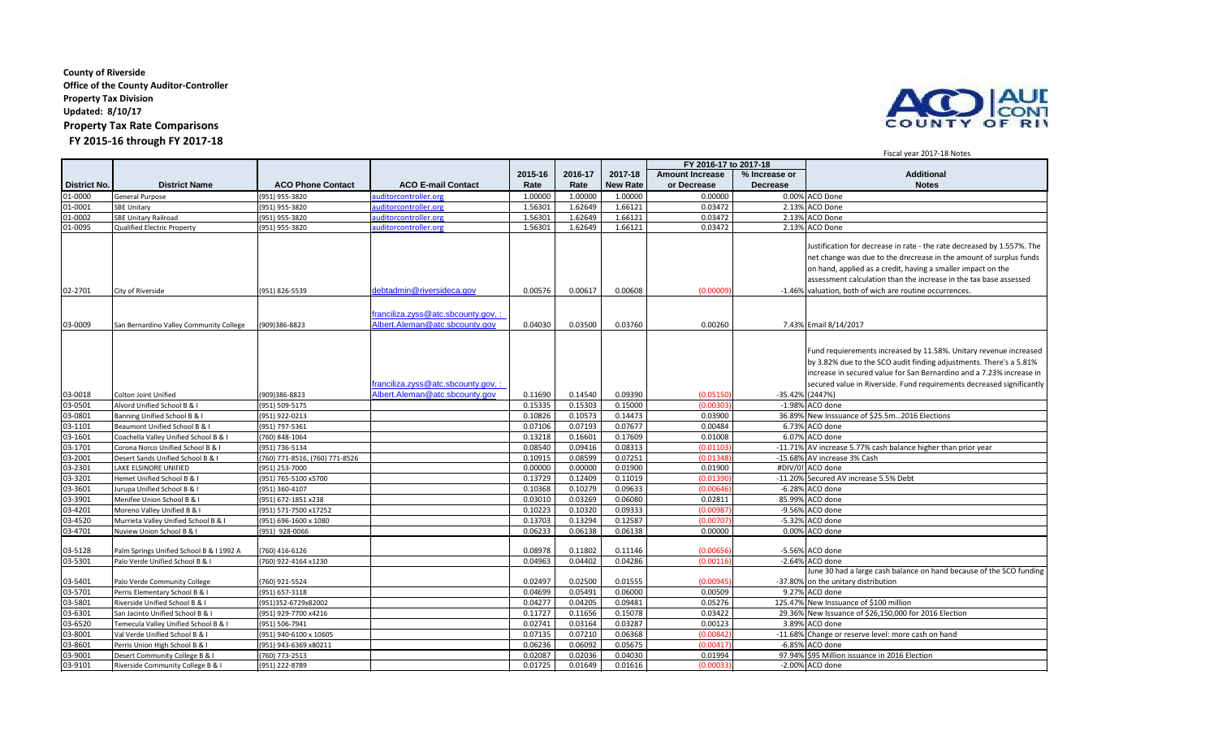## **County of Riverside Office of the County Auditor-Controller Property Tax Division Updated: 8/10/17 Property Tax Rate Comparisons FY 2015-16 through FY 2017-18**



## **2015-16 2016-17 2017-18 Amount Increase % Increase or Additional District No. District Name ACO Phone Contact ACO E-mail Contact Rate Rate New Rate or Decrease Decrease Notes** 01-0000 General Purpose (951) 955-3820 <u>auditorcontroller.org</u> 1.00000 | 1.00000 | 0.0000 | 0.00% |ACO Done 01-0001 SBE Unitary (951) 955-3820 <u>auditorcontroller.org</u> 1.56301 | 1.62649 | 1.66121 | 0.03472 | 2.13% ACO Done 01-0002 SBE Unitary Railroad (951) 955-3820 auditorcontroller.org 1.56301 1.62649 1.66121 0.03472 2.13% ACO Done 01-0095 Qualified Electric Property (951) 955-3820 auditorcontroller.org 1.56301 1.62649 1.66121 0.03472 2.13% ACO Done 02-2701 City of Riverside (951) 826-5539 [debtadmin@riversideca.gov](mailto:debtadmin@riversideca.gov#) 0.00576 0.00617 0.00608 (0.00009) Justification for decrease in rate - the rate decreased by 1.557%. The net change was due to the drecrease in the amount of surplus funds on hand, applied as a credit, having a smaller impact on the assessment calculation than the increase in the tax base assessed -1.46% valuation, both of wich are routine occurrences. 03-0009 San Bernardino Valley Community College (909)386-8823 ranciliza.zyss@atc.sbcounty.gov, : [Albert.Aleman@atc.sbcounty.gov](mailto:franciliza.zyss@atc.sbcounty.gov) 0.04030 0.03500 0.03760 0.00260 7.43% Email 8/14/2017 03-0018 Colton Joint Unified (909)386-8823<br>03-0501 Alvord Unified School B & I (951) 509-5175 anciliza.zyss@atc.sbcounty.gov,: <u>[Albert.Aleman@atc.sbcounty.gov](mailto:franciliza.zyss@atc.sbcounty.gov) 0.11690 0.14540 0.09390 (0.05150)</u> -35.42% (2447%)<br>0.15335 0.15303 0.15000 (0.00303) -1.98% ACO done Fund requierements increased by 11.58%. Unitary revenue increased by 3.82% due to the SCO audit finding adjustments. There's a 5.81% increase in secured value for San Bernardino and a 7.23% increase in secured value in Riverside. Fund requirements decreased significantly (2447%) 03-0501 Alvord Unified School B & I (951) 509-5175 0.15335 0.15303 0.15000 (0.00303) -1.98% ACO done 03-0801 Banning Unified School B & I (951) 922-0213 1 (951) 922-0213 1 (951) 922-0213 1 (951) 922-0213 1 (951) 922-0213 1 (951) 922-0213 1 (951) 922-0213 1 (951) 922-0213 1 (951) 922-0213 1 (951) 922-0213 1 (951) 922-0213 03-1101 Beaumont Unified School B & I (951) 797-5361 (951) 797-5361 (951) 797-5361 (951) 797-5361 (951) 797-5361 (951) 797-5361 (951) 797-5361 (951) 797-5361 (951) 797-5361 (951) 797-5361 (951) 797-5361 (951) 797-5361 (951 03-1601 Coachella Valley Unified School B & I (760) 848-1064 1 (760) 848-1064 1 (1760) 848-1064 1 (1760) 848-1064 1 (1760) 848-1064 1 (1760) 848-1064 1 (1760) 848-1064 1 (1760) 848-1064 1 (1760) 848-1064 1 (1778 1 (1780) 1 03-11.71% Corona Norco Unified School B & I (951) 736-5134 (951) 736-5134 1201 71-8526 10.08540 0.08540 0.08540 0.08313 (0.01103) -11.71% AV increase 5.77% cash balance higher than prior year<br>Desert Sands Unified School B 03-2001 Desert Sands Unified School B & I (760) 771-8516, (760) 771-8526 (300) 0.10915 0.08599 0.07251 (0.01348) -15.68% AV increase 3% Cash 03-2301 |LAKE ELSINORE UNIFIED ((951) 253-7000 | 03-3201 Hemet Unified School B & I (951) 765-5100 x5700 (951) 765-5100 x5700 (0.013729 0.13729 0.12409 0.11019 (0.01390) -11.20% Secured AV increase 5.5% Debt 03-3601 Jurupa Unified School B & I (951) 360-4107 0.10368 0.10279 0.09633 (0.00646) -6.28% ACO done 03-3901 |Menifee Union School B & I |(951) 672-1851 x238 | 0.03010 | 0.03269 | 0.06080 | 0.02811 | 85.99%|ACO done 03-4201 Moreno Valley Unified B & I (951) 571-7500 x17252 (1.10223 0.10223 0.10320 0.09333 (0.00987) -9.56% ACO done<br>-03-4520 Murrieta Valley Unified School B & I (951) 696-1600 x 1080 (0.13703 0.13703 0.13703 0.13794 0.12 0.03703 | 0.13294 | 0.12587 | 0.12587 | 0.007 | 0.13703 | 0.13294 0.12587 | 0.007 03-4701 Nuview Union School B & I (951) 928-0066 0.06233 0.06138 0.06138 0.00000 0.00% ACO done 03-5128 Palm Springs Unified School B & I 1992 A (760) 416-6126 0.08978 0.11802 0.11146 (0.00656) -5.56% ACO done 03-5301 Palo Verde Unified School B & I (760) 922-4164 x1230 (1760) 922-4164 x1230 (0.04402 0.04402 0.04402 0.04402 (0.001286 (0.00116) -2.64% ACO done 03-5401 Palo Verde Community College (760) 921-5524 (0.00945)<br>03-5701 Perris Flementary School B & I (951) 657-3118 (951) -37.8118 (0.0459 0.04699 0.05491 0.06000 0.00509 0 June 30 had a large cash balance on hand because of the SCO funding -37.80% on the unitary distribution 03-5701 Perris Elementary School B & I (951) 657-3118 0.04699 | 0.06499 | 0.06000 | 0.06000 | 0.06000 | 9.27% ACO done 03-5801 Riverside Unified School B & I (951)352-6729x82002 (and the state of \$100 million 03-6301 San Jacinto Unified School B & I (951) 929-7700 x4216 (951) 29-7700 x4216 (951) 29.36% New Issuance of \$26,150,000 for 2016 Election 03-6520 Temecula Valley Unified School B & I (951) 506-7941 0.02741 0.03164 0.03287 0.00123 3.89% ACO done<br>03-8001 Val Verde Unified School B & I (951) 940-6100 x 10605 03-8001 Val Verde Unified School B & I (951) 940-6100 x 10605 (2000 10605 0.07115 0.07135 0.07210 0.06368 (0.00842) -11.68% Change or reserve level: more cash on hand<br>03-8601 Perris Union High School B & I (951) 943-6369 x 03-8601 Perris Union High School B & I (951) 943-6369 x80211 0.06236 0.06092 0.05675 (0.00417) -6.85% ACO done 03-9001 Desert Community College B & I (760) 773-2513 1994 (0.02036 0.02036 0.02036 0.04030 0.01994 97.94% \$95 Million issuance in 2016 Election issuance in 2016 Election issuance in 2016 Election issuance in 2016 Election **FY 2016-17 to 2017-18**

03-9101 Riverside Community College B & I (951) 222-8789  $\vert$  0.01725 0.01725 0.01649 0.01616 (0.000

Fiscal year 2017-18 Notes